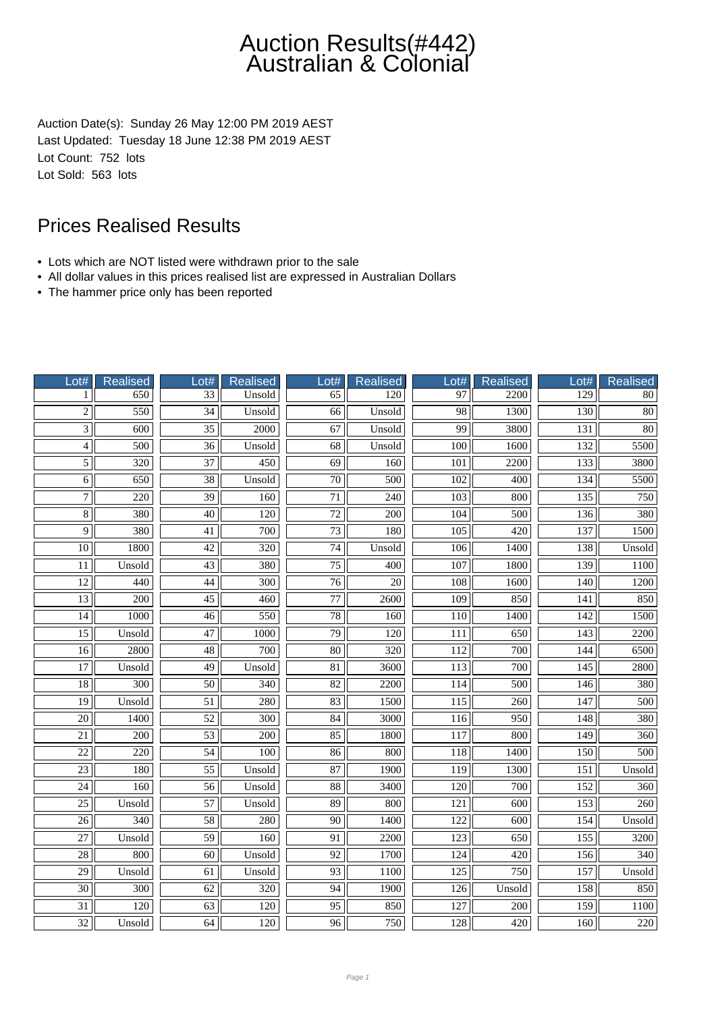Auction Date(s): Sunday 26 May 12:00 PM 2019 AEST Last Updated: Tuesday 18 June 12:38 PM 2019 AEST Lot Count: 752 lots Lot Sold: 563 lots

- Lots which are NOT listed were withdrawn prior to the sale
- All dollar values in this prices realised list are expressed in Australian Dollars
- The hammer price only has been reported

| Lot#            | Realised         | Lot#            | <b>Realised</b>   | Lot#                | <b>Realised</b>  | Lot#             | <b>Realised</b>  | Lot#             | <b>Realised</b>  |
|-----------------|------------------|-----------------|-------------------|---------------------|------------------|------------------|------------------|------------------|------------------|
| 1               | 650              | $\overline{33}$ | Unsold            | 65                  | 120              | 97               | 2200             | 129              | 80               |
| $\overline{2}$  | 550              | $\overline{34}$ | Unsold            | $\overline{66}$     | Unsold           | $\overline{98}$  | 1300             | 130              | $\overline{80}$  |
| $\overline{3}$  | 600              | $\overline{35}$ | $\overline{2000}$ | 67                  | Unsold           | 99               | 3800             | 131              | $\overline{80}$  |
| $\overline{4}$  | 500              | $\overline{36}$ | Unsold            | $\overline{68}$     | Unsold           | 100              | 1600             | 132              | 5500             |
| $\overline{5}$  | 320              | 37              | 450               | 69                  | 160              | 101              | 2200             | 133              | 3800             |
| $\overline{6}$  | 650              | $\overline{38}$ | Unsold            | $\overline{70}$     | 500              | $\overline{102}$ | 400              | 134              | 5500             |
| $\overline{7}$  | 220              | 39              | 160               | 71                  | 240              | 103              | 800              | 135              | 750              |
| $\overline{8}$  | 380              | $\overline{40}$ | $\overline{120}$  | $\overline{72}$     | $\overline{200}$ | 104              | 500              | 136              | 380              |
| $\overline{9}$  | 380              | $\overline{41}$ | 700               | 73                  | 180              | 105              | 420              | 137              | 1500             |
| 10              | 1800             | 42              | 320               | 74                  | Unsold           | 106              | 1400             | 138              | Unsold           |
| 11              | Unsold           | 43              | 380               | 75                  | 400              | 107              | 1800             | 139              | 1100             |
| $\overline{12}$ | 440              | 44              | $\overline{300}$  | $\overline{76}$     | $\overline{20}$  | 108              | 1600             | 140              | 1200             |
| $\overline{13}$ | $\overline{200}$ | $\overline{45}$ | $\overline{460}$  | $\overline{77}$     | $\frac{2600}{ }$ | $\overline{109}$ | 850              | 141              | 850              |
| 14              | 1000             | $\overline{46}$ | 550               | 78                  | 160              | 110              | 1400             | 142              | 1500             |
| $\overline{15}$ | Unsold           | 47              | 1000              | $\overline{79}$     | 120              | 111              | 650              | $\overline{143}$ | 2200             |
| 16              | 2800             | 48              | 700               | $80\,$              | 320              | 112              | 700              | 144              | 6500             |
| $\overline{17}$ | Unsold           | 49              | Unsold            | $\overline{81}$     | 3600             | $\overline{113}$ | 700              | $\overline{145}$ | 2800             |
| $\overline{18}$ | $\overline{300}$ | 50              | 340               | 82                  | 2200             | 114              | 500              | 146              | 380              |
| $\overline{19}$ | Unsold           | $\overline{51}$ | 280               | 83                  | 1500             | 115              | $\overline{260}$ | $\overline{147}$ | 500              |
| $\overline{20}$ | 1400             | 52              | 300               | 84                  | 3000             | 116              | 950              | 148              | 380              |
| 21              | 200              | 53              | 200               | $\overline{85}$     | 1800             | 117              | 800              | 149              | 360              |
| $\overline{22}$ | 220              | $\overline{54}$ | $\overline{100}$  | 86                  | 800              | $\overline{118}$ | 1400             | 150              | $\overline{500}$ |
| $\overline{23}$ | 180              | $\overline{55}$ | Unsold            | $\overline{87}$     | 1900             | $\overline{119}$ | 1300             | 151              | Unsold           |
| $\overline{24}$ | 160              | $\overline{56}$ | Unsold            | $\overline{\bf 88}$ | 3400             | $\overline{120}$ | 700              | 152              | 360              |
| $\overline{25}$ | Unsold           | 57              | Unsold            | 89                  | 800              | 121              | 600              | 153              | 260              |
| $\overline{26}$ | 340              | $\overline{58}$ | 280               | $\overline{90}$     | 1400             | 122              | 600              | 154              | Unsold           |
| $\overline{27}$ | Unsold           | 59              | 160               | 91                  | 2200             | 123              | 650              | 155              | 3200             |
| $\overline{28}$ | 800              | $\overline{60}$ | Unsold            | $\overline{92}$     | 1700             | $\overline{124}$ | $\overline{420}$ | 156              | 340              |
| 29              | Unsold           | 61              | Unsold            | 93                  | 1100             | 125              | 750              | 157              | Unsold           |
| $\overline{30}$ | $\overline{300}$ | 62              | 320               | 94                  | 1900             | 126              | Unsold           | 158              | 850              |
| 31              | 120              | 63              | 120               | 95                  | 850              | 127              | 200              | 159              | 1100             |
| 32              | Unsold           | 64              | 120               | 96                  | 750              | 128              | 420              | 160              | 220              |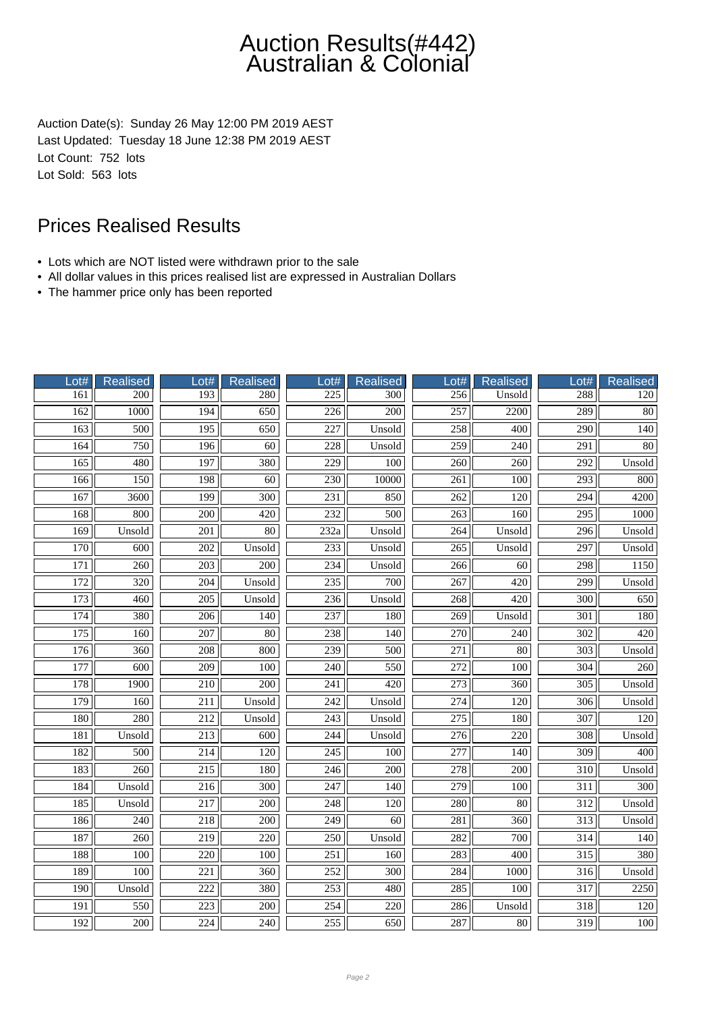Auction Date(s): Sunday 26 May 12:00 PM 2019 AEST Last Updated: Tuesday 18 June 12:38 PM 2019 AEST Lot Count: 752 lots Lot Sold: 563 lots

- Lots which are NOT listed were withdrawn prior to the sale
- All dollar values in this prices realised list are expressed in Australian Dollars
- The hammer price only has been reported

| Lot#             | <b>Realised</b>  | Lot#             | <b>Realised</b>  | $_0$ ot#         | <b>Realised</b>  | $_0$ ot#         | Realised         | Lot#             | <b>Realised</b>  |
|------------------|------------------|------------------|------------------|------------------|------------------|------------------|------------------|------------------|------------------|
| 161              | 200              | 193              | 280              | 225              | 300              | 256              | Unsold           | 288              | 120              |
| 162              | 1000             | 194              | $\overline{650}$ | $\overline{226}$ | $\overline{200}$ | $\overline{257}$ | 2200             | 289              | $\overline{80}$  |
| 163              | 500              | 195              | 650              | 227              | Unsold           | 258              | $\overline{400}$ | $\overline{290}$ | $\overline{140}$ |
| 164              | 750              | 196              | $\overline{60}$  | 228              | Unsold           | 259              | 240              | 291              | 80               |
| 165              | 480              | 197              | 380              | 229              | 100              | 260              | 260              | 292              | Unsold           |
| 166              | $\overline{150}$ | 198              | $\overline{60}$  | 230              | 10000            | 261              | 100              | $\overline{293}$ | 800              |
| 167              | 3600             | 199              | 300              | 231              | 850              | 262              | 120              | 294              | 4200             |
| 168              | 800              | $\overline{200}$ | $\overline{420}$ | 232              | 500              | $\overline{263}$ | 160              | $\overline{295}$ | 1000             |
| 169              | Unsold           | 201              | 80               | 232a             | Unsold           | 264              | Unsold           | 296              | Unsold           |
| 170              | 600              | 202              | Unsold           | 233              | Unsold           | 265              | Unsold           | 297              | Unsold           |
| 171              | 260              | 203              | 200              | 234              | Unsold           | 266              | 60               | 298              | 1150             |
| $\overline{172}$ | $\frac{320}{ }$  | $\overline{204}$ | Unsold           | 235              | $\overline{700}$ | $\overline{267}$ | $\overline{420}$ | $\overline{299}$ | Unsold           |
| 173              | 460              | $\overline{205}$ | Unsold           | 236              | Unsold           | $\overline{268}$ | $\overline{420}$ | $\overline{300}$ | 650              |
| 174              | 380              | 206              | 140              | 237              | 180              | 269              | Unsold           | $\overline{301}$ | 180              |
| $\overline{175}$ | 160              | $\overline{207}$ | 80               | 238              | 140              | 270              | 240              | 302              | 420              |
| 176              | 360              | 208              | 800              | 239              | 500              | 271              | $80\,$           | 303              | Unsold           |
| 177              | $\overline{600}$ | $\overline{209}$ | $\overline{100}$ | $\overline{240}$ | 550              | $\overline{272}$ | 100              | $\overline{304}$ | $\overline{260}$ |
| 178              | 1900             | 210              | 200              | 241              | 420              | 273              | 360              | 305              | Unsold           |
| 179              | 160              | 211              | Unsold           | 242              | Unsold           | 274              | 120              | 306              | Unsold           |
| 180              | 280              | 212              | Unsold           | 243              | Unsold           | 275              | 180              | 307              | 120              |
| 181              | Unsold           | 213              | 600              | 244              | Unsold           | 276              | 220              | 308              | Unsold           |
| 182              | 500              | 214              | $\overline{120}$ | 245              | 100              | $\overline{277}$ | $\overline{140}$ | 309              | 400              |
| 183              | $\overline{260}$ | $\overline{215}$ | 180              | $\frac{246}{ }$  | $\overline{200}$ | $\overline{278}$ | $\overline{200}$ | $\overline{310}$ | Unsold           |
| 184              | Unsold           | $\overline{216}$ | $\overline{300}$ | 247              | 140              | 279              | $\overline{100}$ | $\overline{311}$ | $\overline{300}$ |
| 185              | Unsold           | 217              | 200              | 248              | 120              | 280              | 80               | 312              | Unsold           |
| 186              | 240              | 218              | 200              | 249              | $\overline{60}$  | 281              | 360              | $\overline{313}$ | Unsold           |
| 187              | 260              | 219              | 220              | 250              | Unsold           | 282              | 700              | 314              | 140              |
| 188              | $\overline{100}$ | $\overline{220}$ | $\overline{100}$ | $\overline{251}$ | 160              | $\overline{283}$ | 400              | $\overline{315}$ | 380              |
| 189              | 100              | 221              | 360              | 252              | 300              | 284              | 1000             | 316              | Unsold           |
| 190              | Unsold           | 222              | 380              | 253              | 480              | 285              | 100              | $\overline{317}$ | 2250             |
| $\overline{191}$ | 550              | 223              | 200              | 254              | 220              | 286              | Unsold           | 318              | 120              |
| 192              | 200              | 224              | 240              | 255              | 650              | 287              | 80               | 319              | 100              |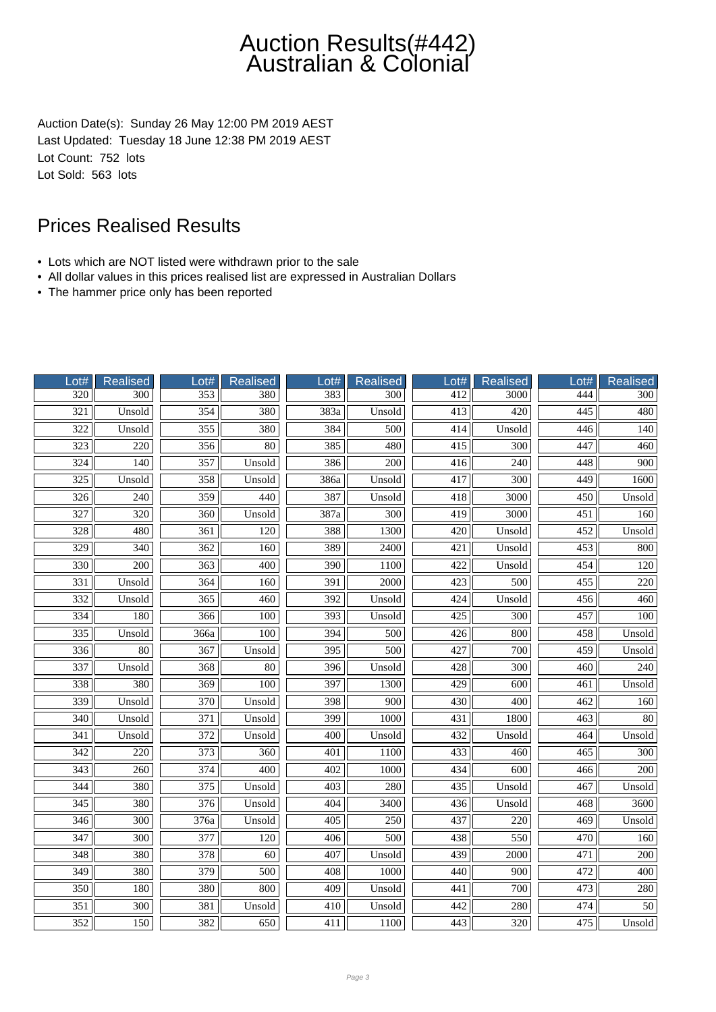Auction Date(s): Sunday 26 May 12:00 PM 2019 AEST Last Updated: Tuesday 18 June 12:38 PM 2019 AEST Lot Count: 752 lots Lot Sold: 563 lots

- Lots which are NOT listed were withdrawn prior to the sale
- All dollar values in this prices realised list are expressed in Australian Dollars
- The hammer price only has been reported

| Lot#             | Realised         | Lot#             | <b>Realised</b>  | Lot#             | <b>Realised</b>  | Lot# | <b>Realised</b>  | Lot#             | <b>Realised</b>  |
|------------------|------------------|------------------|------------------|------------------|------------------|------|------------------|------------------|------------------|
| 320              | 300              | 353              | 380              | 383              | 300              | 412  | 3000             | 444              | 300              |
| $\overline{321}$ | Unsold           | 354              | 380              | 383a             | Unsold           | 413  | 420              | $\overline{445}$ | 480              |
| 322              | Unsold           | 355              | 380              | 384              | 500              | 414  | Unsold           | 446              | 140              |
| 323              | 220              | 356              | 80               | 385              | 480              | 415  | 300              | 447              | 460              |
| 324              | 140              | $\overline{357}$ | Unsold           | 386              | 200              | 416  | 240              | 448              | 900              |
| $\overline{325}$ | Unsold           | 358              | Unsold           | 386a             | Unsold           | 417  | 300              | 449              | 1600             |
| $\overline{326}$ | $\overline{240}$ | 359              | 440              | 387              | Unsold           | 418  | 3000             | $\overline{450}$ | Unsold           |
| 327              | $\overline{320}$ | 360              | Unsold           | 387a             | $\overline{300}$ | 419  | 3000             | 451              | 160              |
| 328              | 480              | 361              | 120              | 388              | 1300             | 420  | Unsold           | 452              | Unsold           |
| 329              | 340              | 362              | 160              | 389              | 2400             | 421  | Unsold           | 453              | 800              |
| 330              | 200              | 363              | 400              | 390              | 1100             | 422  | Unsold           | 454              | 120              |
| $\overline{331}$ | Unsold           | 364              | 160              | $\overline{391}$ | $\frac{2000}{ }$ | 423  | $\overline{500}$ | $\overline{455}$ | $\overline{220}$ |
| $\overline{332}$ | Unsold           | 365              | 460              | 392              | Unsold           | 424  | Unsold           | 456              | 460              |
| 334              | 180              | 366              | 100              | 393              | Unsold           | 425  | $\overline{300}$ | 457              | 100              |
| $\overline{335}$ | Unsold           | 366a             | 100              | 394              | 500              | 426  | 800              | 458              | Unsold           |
| 336              | 80               | 367              | Unsold           | 395              | 500              | 427  | 700              | 459              | Unsold           |
| 337              | Unsold           | 368              | $\overline{80}$  | $\overline{396}$ | Unsold           | 428  | $\overline{300}$ | 460              | 240              |
| 338              | 380              | 369              | 100              | 397              | 1300             | 429  | 600              | 461              | Unsold           |
| 339              | Unsold           | $\overline{370}$ | Unsold           | 398              | 900              | 430  | $\overline{400}$ | 462              | 160              |
| $\overline{340}$ | Unsold           | 371              | Unsold           | 399              | 1000             | 431  | 1800             | 463              | 80               |
| 341              | Unsold           | 372              | Unsold           | 400              | Unsold           | 432  | Unsold           | 464              | Unsold           |
| $\overline{342}$ | $\overline{220}$ | $\overline{373}$ | $\overline{360}$ | 401              | 1100             | 433  | 460              | 465              | $\overline{300}$ |
| $\overline{343}$ | 260              | $\overline{374}$ | $\overline{400}$ | 402              | 1000             | 434  | $\overline{600}$ | 466              | 200              |
| 344              | 380              | 375              | Unsold           | 403              | 280              | 435  | Unsold           | 467              | Unsold           |
| $\overline{345}$ | 380              | 376              | Unsold           | 404              | 3400             | 436  | Unsold           | 468              | 3600             |
| 346              | 300              | 376a             | Unsold           | 405              | 250              | 437  | 220              | 469              | Unsold           |
| 347              | 300              | 377              | 120              | 406              | 500              | 438  | 550              | 470              | 160              |
| 348              | 380              | 378              | 60               | 407              | Unsold           | 439  | 2000             | 471              | 200              |
| $\overline{349}$ | 380              | 379              | $\overline{500}$ | 408              | 1000             | 440  | 900              | 472              | 400              |
| $\overline{350}$ | 180              | 380              | 800              | 409              | Unsold           | 441  | 700              | 473              | 280              |
| 351              | $\overline{300}$ | 381              | Unsold           | 410              | Unsold           | 442  | 280              | 474              | 50               |
| 352              | 150              | 382              | 650              | 411              | 1100             | 443  | 320              | 475              | Unsold           |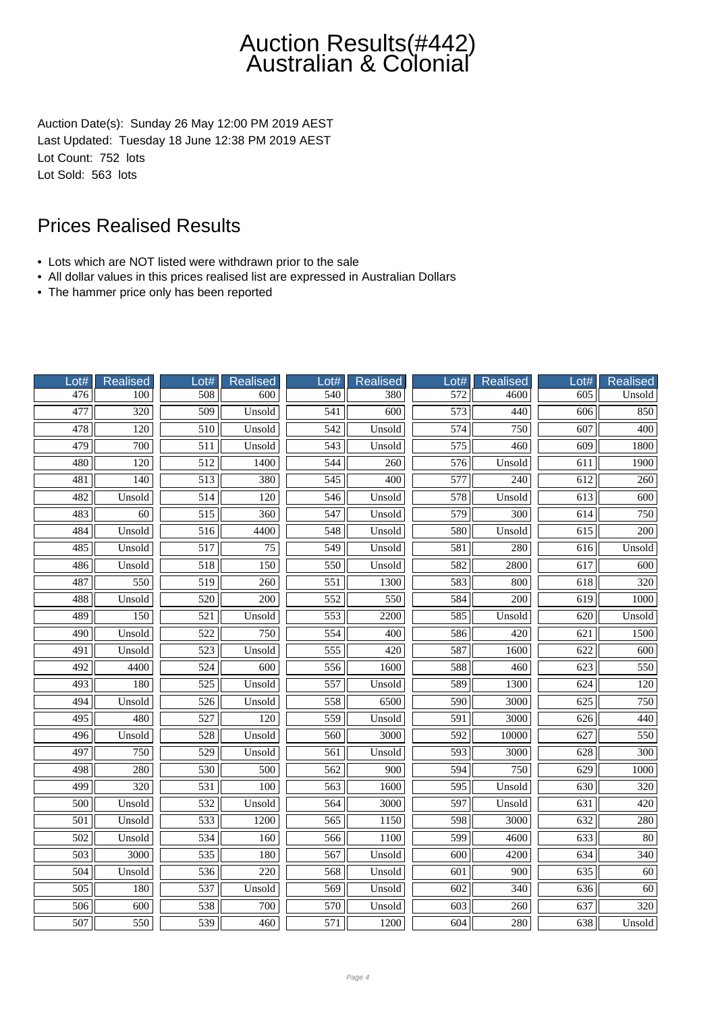Auction Date(s): Sunday 26 May 12:00 PM 2019 AEST Last Updated: Tuesday 18 June 12:38 PM 2019 AEST Lot Count: 752 lots Lot Sold: 563 lots

- Lots which are NOT listed were withdrawn prior to the sale
- All dollar values in this prices realised list are expressed in Australian Dollars
- The hammer price only has been reported

| Lot#             | Realised         | Lot#             | <b>Realised</b>  | Lot#             | <b>Realised</b>  | Lot#             | Realised         | Lot#             | <b>Realised</b>  |
|------------------|------------------|------------------|------------------|------------------|------------------|------------------|------------------|------------------|------------------|
| 476              | 100              | 508              | 600              | 540              | 380              | 572              | 4600             | 605              | Unsold           |
| 477              | $\overline{320}$ | 509              | Unsold           | 541              | $\overline{600}$ | $\overline{573}$ | 440              | $\overline{606}$ | 850              |
| 478              | 120              | 510              | Unsold           | $\overline{542}$ | Unsold           | $\overline{574}$ | 750              | $\overline{607}$ | 400              |
| 479              | 700              | 511              | Unsold           | $\overline{543}$ | Unsold           | 575              | 460              | 609              | 1800             |
| 480              | 120              | 512              | 1400             | 544              | 260              | 576              | Unsold           | 611              | 1900             |
| 481              | 140              | $\overline{513}$ | 380              | 545              | 400              | $\overline{577}$ | 240              | $\overline{612}$ | 260              |
| 482              | Unsold           | 514              | 120              | 546              | Unsold           | 578              | Unsold           | 613              | 600              |
| 483              | 60               | $\overline{515}$ | $\overline{360}$ | 547              | Unsold           | 579              | $\overline{300}$ | $\overline{614}$ | $\overline{750}$ |
| 484              | Unsold           | 516              | 4400             | 548              | Unsold           | 580              | Unsold           | 615              | 200              |
| 485              | Unsold           | 517              | 75               | 549              | Unsold           | 581              | 280              | 616              | Unsold           |
| 486              | Unsold           | 518              | 150              | 550              | Unsold           | 582              | 2800             | 617              | 600              |
| 487              | 550              | $\overline{519}$ | $\overline{260}$ | 551              | 1300             | 583              | 800              | 618              | $\overline{320}$ |
| 488              | Unsold           | $\overline{520}$ | $\overline{200}$ | $\overline{552}$ | 550              | 584              | 200              | $\overline{619}$ | 1000             |
| 489              | 150              | 521              | Unsold           | 553              | 2200             | 585              | Unsold           | 620              | Unsold           |
| 490              | Unsold           | $\overline{522}$ | 750              | 554              | 400              | 586              | 420              | $\overline{621}$ | 1500             |
| 491              | Unsold           | 523              | Unsold           | 555              | 420              | 587              | 1600             | 622              | 600              |
| 492              | 4400             | 524              | 600              | 556              | 1600             | 588              | $\overline{460}$ | $\overline{623}$ | 550              |
| 493              | 180              | 525              | Unsold           | 557              | Unsold           | 589              | 1300             | 624              | 120              |
| 494              | Unsold           | 526              | Unsold           | 558              | 6500             | 590              | 3000             | 625              | 750              |
| 495              | 480              | 527              | 120              | 559              | Unsold           | 591              | 3000             | 626              | 440              |
| 496              | Unsold           | 528              | Unsold           | 560              | 3000             | 592              | 10000            | 627              | 550              |
| 497              | $\overline{750}$ | 529              | Unsold           | 561              | Unsold           | $\overline{593}$ | 3000             | 628              | 300              |
| 498              | 280              | 530              | 500              | $\overline{562}$ | 900              | 594              | 750              | 629              | 1000             |
| 499              | $\overline{320}$ | 531              | 100              | 563              | 1600             | $\overline{595}$ | Unsold           | $\overline{630}$ | 320              |
| 500              | Unsold           | 532              | Unsold           | 564              | 3000             | 597              | Unsold           | 631              | 420              |
| 501              | Unsold           | 533              | 1200             | 565              | 1150             | 598              | 3000             | 632              | 280              |
| 502              | Unsold           | 534              | 160              | 566              | 1100             | 599              | 4600             | 633              | $80\,$           |
| $\overline{503}$ | 3000             | $\overline{535}$ | 180              | 567              | Unsold           | 600              | 4200             | 634              | $\overline{340}$ |
| 504              | Unsold           | 536              | 220              | 568              | Unsold           | 601              | 900              | 635              | 60               |
| $\overline{505}$ | 180              | 537              | Unsold           | 569              | Unsold           | 602              | 340              | 636              | $\overline{60}$  |
| 506              | 600              | 538              | 700              | 570              | Unsold           | 603              | 260              | 637              | 320              |
| 507              | 550              | 539              | 460              | 571              | 1200             | 604              | 280              | 638              | Unsold           |